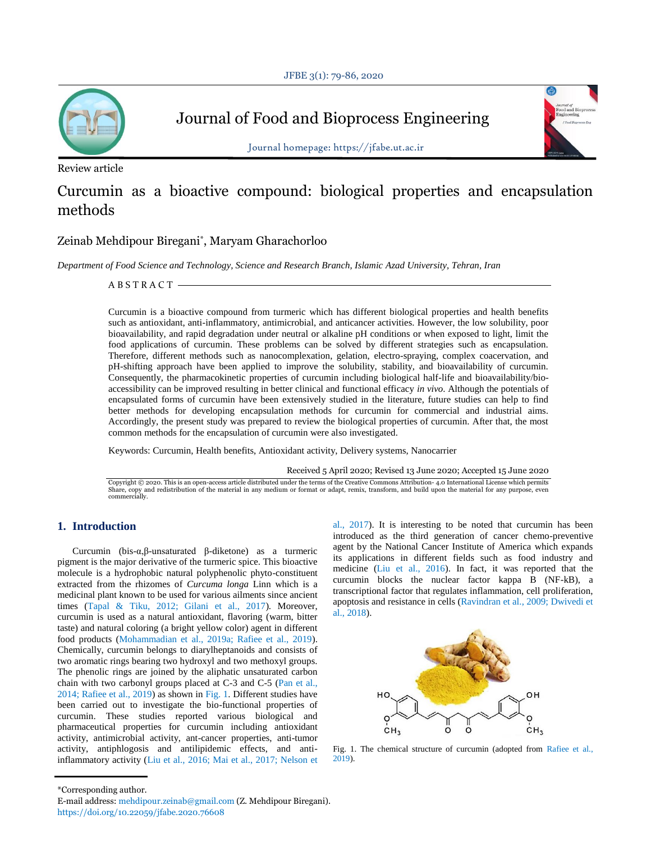

Journal of Food and Bioprocess Engineering

Review article

Journal homepage: https://jfabe.ut.ac.ir

# Curcumin as a bioactive compound: biological properties and encapsulation methods

# Zeinab Mehdipour Biregani\* , Maryam Gharachorloo

*Department of Food Science and Technology, Science and Research Branch, Islamic Azad University, Tehran, Iran*

A B S T R A C T

Curcumin is a bioactive compound from turmeric which has different biological properties and health benefits such as antioxidant, anti-inflammatory, antimicrobial, and anticancer activities. However, the low solubility, poor bioavailability, and rapid degradation under neutral or alkaline pH conditions or when exposed to light, limit the food applications of curcumin. These problems can be solved by different strategies such as encapsulation. Therefore, different methods such as nanocomplexation, gelation, electro-spraying, complex coacervation, and pH-shifting approach have been applied to improve the solubility, stability, and bioavailability of curcumin. Consequently, the pharmacokinetic properties of curcumin including biological half-life and bioavailability/bioaccessibility can be improved resulting in better clinical and functional efficacy *in vivo*. Although the potentials of encapsulated forms of curcumin have been extensively studied in the literature, future studies can help to find better methods for developing encapsulation methods for curcumin for commercial and industrial aims. Accordingly, the present study was prepared to review the biological properties of curcumin. After that, the most common methods for the encapsulation of curcumin were also investigated.

Keywords: Curcumin, Health benefits, Antioxidant activity, Delivery systems, Nanocarrier

Received 5 April 2020; Revised 13 June 2020; Accepted 15 June 2020

Copyright © 2020. This is an open-access article distributed under the terms of the Creative Commons Attribution- 4.0 International License which permits<br>Share, copy and redistribution of the material in any medium or for

# **1. Introduction**

Curcumin (bis-α,β-unsaturated β-diketone) as a turmeric pigment is the major derivative of the turmeric spice. This bioactive molecule is a hydrophobic natural polyphenolic phyto-constituent extracted from the rhizomes of *Curcuma longa* Linn which is a medicinal plant known to be used for various ailments since ancient times (Tapal & Tiku, 2012; Gilani et al., 2017). Moreover, curcumin is used as a natural antioxidant, flavoring (warm, bitter taste) and natural coloring (a bright yellow color) agent in different food products (Mohammadian et al., 2019a; Rafiee et al., 2019). Chemically, curcumin belongs to diarylheptanoids and consists of two aromatic rings bearing two hydroxyl and two methoxyl groups. The phenolic rings are joined by the aliphatic unsaturated carbon chain with two carbonyl groups placed at C-3 and C-5 (Pan et al., 2014; Rafiee et al., 2019) as shown in Fig. 1. Different studies have been carried out to investigate the bio-functional properties of curcumin. These studies reported various biological and pharmaceutical properties for curcumin including antioxidant activity, antimicrobial activity, ant-cancer properties, anti-tumor activity, antiphlogosis and antilipidemic effects, and antiinflammatory activity (Liu et al., 2016; Mai et al., 2017; Nelson et al., 2017). It is interesting to be noted that curcumin has been introduced as the third generation of cancer chemo-preventive agent by the National Cancer Institute of America which expands its applications in different fields such as food industry and medicine (Liu et al., 2016). In fact, it was reported that the curcumin blocks the nuclear factor kappa B (NF-kB), a transcriptional factor that regulates inflammation, cell proliferation, apoptosis and resistance in cells (Ravindran et al., 2009; Dwivedi et al., 2018).



Fig. 1. The chemical structure of curcumin (adopted from Rafiee et al., 2019).

<sup>\*</sup>Corresponding author.

E-mail address: mehdipour.zeinab@gmail.com (Z. Mehdipour Biregani). https://doi.org/10.22059/jfabe.2020.76608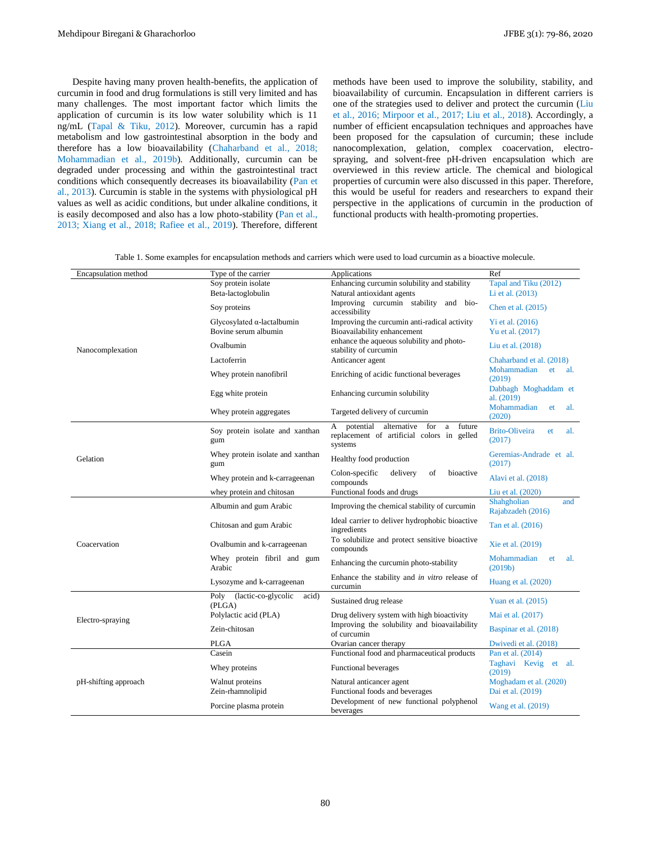Despite having many proven health-benefits, the application of curcumin in food and drug formulations is still very limited and has many challenges. The most important factor which limits the application of curcumin is its low water solubility which is 11 ng/mL (Tapal & Tiku, 2012). Moreover, curcumin has a rapid metabolism and low gastrointestinal absorption in the body and therefore has a low bioavailability (Chaharband et al., 2018; Mohammadian et al., 2019b). Additionally, curcumin can be degraded under processing and within the gastrointestinal tract conditions which consequently decreases its bioavailability (Pan et al., 2013). Curcumin is stable in the systems with physiological pH values as well as acidic conditions, but under alkaline conditions, it is easily decomposed and also has a low photo-stability (Pan et al., 2013; Xiang et al., 2018; Rafiee et al., 2019). Therefore, different

methods have been used to improve the solubility, stability, and bioavailability of curcumin. Encapsulation in different carriers is one of the strategies used to deliver and protect the curcumin (Liu et al., 2016; Mirpoor et al., 2017; Liu et al., 2018). Accordingly, a number of efficient encapsulation techniques and approaches have been proposed for the capsulation of curcumin; these include nanocomplexation, gelation, complex coacervation, electrospraying, and solvent-free pH-driven encapsulation which are overviewed in this review article. The chemical and biological properties of curcumin were also discussed in this paper. Therefore, this would be useful for readers and researchers to expand their perspective in the applications of curcumin in the production of functional products with health-promoting properties.

| Encapsulation method | Type of the carrier                            | Applications                                                                                                 | Ref                                          |
|----------------------|------------------------------------------------|--------------------------------------------------------------------------------------------------------------|----------------------------------------------|
| Nanocomplexation     | Soy protein isolate                            | Enhancing curcumin solubility and stability                                                                  | Tapal and Tiku (2012)                        |
|                      | Beta-lactoglobulin                             | Natural antioxidant agents                                                                                   | Li et al. (2013)                             |
|                      | Soy proteins                                   | Improving curcumin stability and bio-<br>accessibility                                                       | Chen et al. (2015)                           |
|                      | Glycosylated $\alpha$ -lactalbumin             | Improving the curcumin anti-radical activity                                                                 | Yi et al. $(2016)$                           |
|                      | Bovine serum albumin                           | Bioavailability enhancement                                                                                  | Yu et al. (2017)                             |
|                      | Ovalbumin                                      | enhance the aqueous solubility and photo-<br>stability of curcumin                                           | Liu et al. (2018)                            |
|                      | Lactoferrin                                    | Anticancer agent                                                                                             | Chaharband et al. (2018)                     |
|                      | Whey protein nanofibril                        | Enriching of acidic functional beverages                                                                     | Mohammadian<br>al.<br>et<br>(2019)           |
|                      | Egg white protein                              | Enhancing curcumin solubility                                                                                | Dabbagh Moghaddam et<br>al. (2019)           |
|                      | Whey protein aggregates                        | Targeted delivery of curcumin                                                                                | Mohammadian<br>et<br>al.<br>(2020)           |
| Gelation             | Soy protein isolate and xanthan<br>gum         | potential<br>alternative<br>for<br>a<br>future<br>A<br>replacement of artificial colors in gelled<br>systems | <b>Brito-Oliveira</b><br>al.<br>et<br>(2017) |
|                      | Whey protein isolate and xanthan<br>gum        | Healthy food production                                                                                      | Geremias-Andrade et al.<br>(2017)            |
|                      | Whey protein and k-carrageenan                 | bioactive<br>Colon-specific<br>delivery<br>of<br>compounds                                                   | Alavi et al. (2018)                          |
|                      | whey protein and chitosan                      | Functional foods and drugs                                                                                   | Liu et al. (2020)                            |
| Coacervation         | Albumin and gum Arabic                         | Improving the chemical stability of curcumin                                                                 | Shahgholian<br>and<br>Rajabzadeh (2016)      |
|                      | Chitosan and gum Arabic                        | Ideal carrier to deliver hydrophobic bioactive<br>ingredients                                                | Tan et al. (2016)                            |
|                      | Ovalbumin and k-carrageenan                    | To solubilize and protect sensitive bioactive<br>compounds                                                   | Xie et al. (2019)                            |
|                      | Whey protein fibril and gum<br>Arabic          | Enhancing the curcumin photo-stability                                                                       | Mohammadian<br>al.<br>et<br>(2019b)          |
|                      | Lysozyme and k-carrageenan                     | Enhance the stability and in vitro release of<br>curcumin                                                    | Huang et al. (2020)                          |
| Electro-spraying     | (lactic-co-glycolic<br>Poly<br>acid)<br>(PLGA) | Sustained drug release                                                                                       | Yuan et al. (2015)                           |
|                      | Polylactic acid (PLA)                          | Drug delivery system with high bioactivity                                                                   | Mai et al. (2017)                            |
|                      | Zein-chitosan                                  | Improving the solubility and bioavailability<br>of curcumin                                                  | Baspinar et al. (2018)                       |
|                      | <b>PLGA</b>                                    | Ovarian cancer therapy                                                                                       | Dwivedi et al. (2018)                        |
| pH-shifting approach | Casein                                         | Functional food and pharmaceutical products                                                                  | Pan et al. (2014)                            |
|                      | Whey proteins                                  | Functional beverages                                                                                         | Taghavi Kevig et al.<br>(2019)               |
|                      | Walnut proteins                                | Natural anticancer agent                                                                                     | Moghadam et al. (2020)                       |
|                      | Zein-rhamnolipid                               | Functional foods and beverages                                                                               | Dai et al. (2019)                            |
|                      | Porcine plasma protein                         | Development of new functional polyphenol<br>beverages                                                        | Wang et al. (2019)                           |

Table 1. Some examples for encapsulation methods and carriers which were used to load curcumin as a bioactive molecule.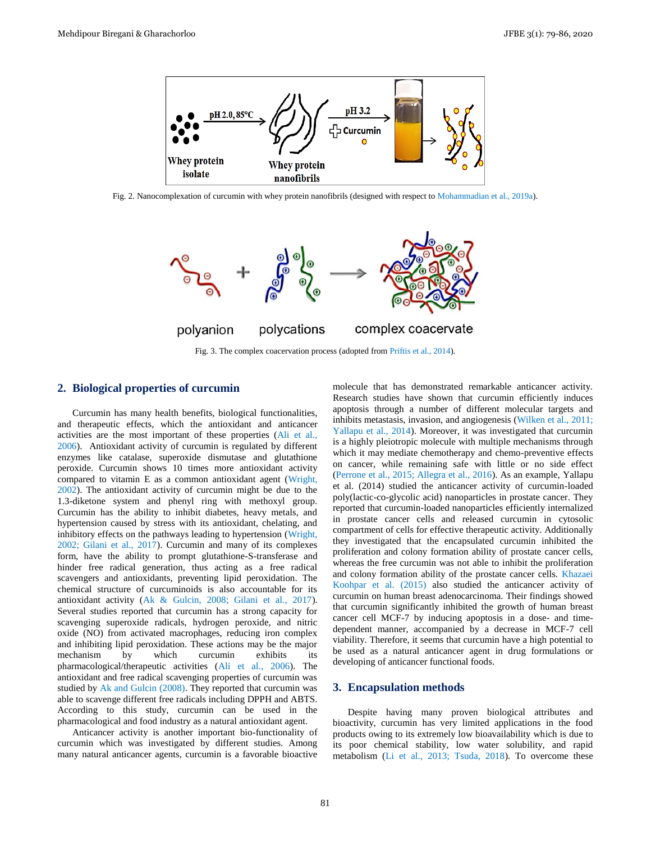

Fig. 2. Nanocomplexation of curcumin with whey protein nanofibrils (designed with respect to Mohammadian et al., 2019a).



Fig. 3. The complex coacervation process (adopted from Priftis et al., 2014).

# **2. Biological properties of curcumin**

Curcumin has many health benefits, biological functionalities, and therapeutic effects, which the antioxidant and anticancer activities are the most important of these properties (Ali et al., 2006). Antioxidant activity of curcumin is regulated by different enzymes like catalase, superoxide dismutase and glutathione peroxide. Curcumin shows 10 times more antioxidant activity compared to vitamin E as a common antioxidant agent (Wright, 2002). The antioxidant activity of curcumin might be due to the 1.3-diketone system and phenyl ring with methoxyl group. Curcumin has the ability to inhibit diabetes, heavy metals, and hypertension caused by stress with its antioxidant, chelating, and inhibitory effects on the pathways leading to hypertension (Wright, 2002; Gilani et al., 2017). Curcumin and many of its complexes form, have the ability to prompt glutathione-S-transferase and hinder free radical generation, thus acting as a free radical scavengers and antioxidants, preventing lipid peroxidation. The chemical structure of curcuminoids is also accountable for its antioxidant activity (Ak & Gulcin, 2008; Gilani et al., 2017). Several studies reported that curcumin has a strong capacity for scavenging superoxide radicals, hydrogen peroxide, and nitric oxide (NO) from activated macrophages, reducing iron complex and inhibiting lipid peroxidation. These actions may be the major mechanism by which curcumin exhibits its pharmacological/therapeutic activities (Ali et al., 2006). The antioxidant and free radical scavenging properties of curcumin was studied by Ak and Gulcin (2008). They reported that curcumin was able to scavenge different free radicals including DPPH and ABTS. According to this study, curcumin can be used in the pharmacological and food industry as a natural antioxidant agent.

Anticancer activity is another important bio-functionality of curcumin which was investigated by different studies. Among many natural anticancer agents, curcumin is a favorable bioactive molecule that has demonstrated remarkable anticancer activity. Research studies have shown that curcumin efficiently induces apoptosis through a number of different molecular targets and inhibits metastasis, invasion, and angiogenesis (Wilken et al., 2011; Yallapu et al., 2014). Moreover, it was investigated that curcumin is a highly pleiotropic molecule with multiple mechanisms through which it may mediate chemotherapy and chemo-preventive effects on cancer, while remaining safe with little or no side effect (Perrone et al., 2015; Allegra et al., 2016). As an example, Yallapu et al. (2014) studied the anticancer activity of curcumin-loaded poly(lactic-co-glycolic acid) nanoparticles in prostate cancer. They reported that curcumin-loaded nanoparticles efficiently internalized in prostate cancer cells and released curcumin in cytosolic compartment of cells for effective therapeutic activity. Additionally they investigated that the encapsulated curcumin inhibited the proliferation and colony formation ability of prostate cancer cells, whereas the free curcumin was not able to inhibit the proliferation and colony formation ability of the prostate cancer cells. Khazaei Koohpar et al. (2015) also studied the anticancer activity of curcumin on human breast adenocarcinoma. Their findings showed that curcumin significantly inhibited the growth of human breast cancer cell MCF-7 by inducing apoptosis in a dose- and timedependent manner, accompanied by a decrease in MCF-7 cell viability. Therefore, it seems that curcumin have a high potential to be used as a natural anticancer agent in drug formulations or developing of anticancer functional foods.

### **3. Encapsulation methods**

Despite having many proven biological attributes and bioactivity, curcumin has very limited applications in the food products owing to its extremely low bioavailability which is due to its poor chemical stability, low water solubility, and rapid metabolism (Li et al., 2013; Tsuda, 2018). To overcome these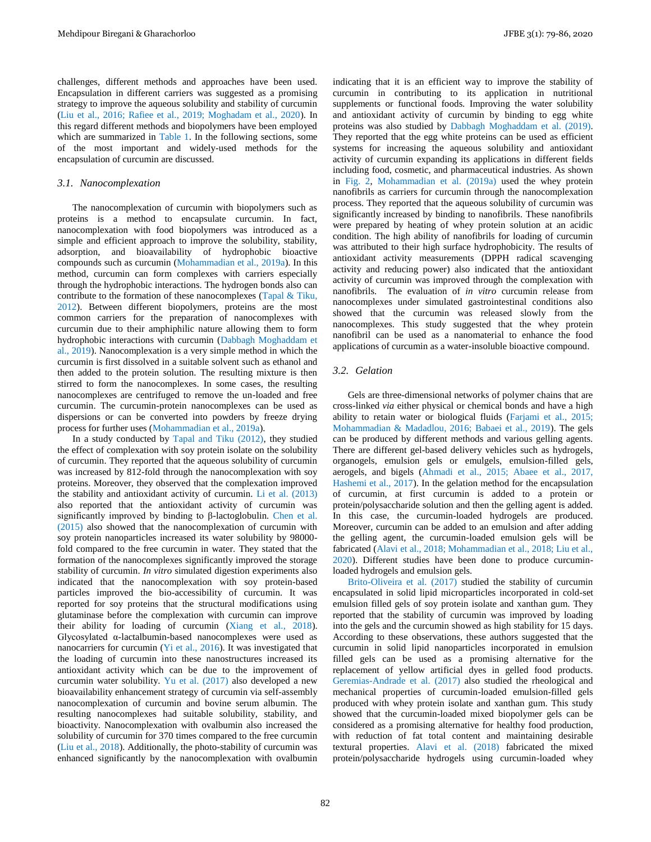challenges, different methods and approaches have been used. Encapsulation in different carriers was suggested as a promising strategy to improve the aqueous solubility and stability of curcumin (Liu et al., 2016; Rafiee et al., 2019; Moghadam et al., 2020). In this regard different methods and biopolymers have been employed which are summarized in Table 1. In the following sections, some of the most important and widely-used methods for the encapsulation of curcumin are discussed.

#### *3.1. Nanocomplexation*

The nanocomplexation of curcumin with biopolymers such as proteins is a method to encapsulate curcumin. In fact, nanocomplexation with food biopolymers was introduced as a simple and efficient approach to improve the solubility, stability, adsorption, and bioavailability of hydrophobic bioactive compounds such as curcumin (Mohammadian et al., 2019a). In this method, curcumin can form complexes with carriers especially through the hydrophobic interactions. The hydrogen bonds also can contribute to the formation of these nanocomplexes (Tapal & Tiku, 2012). Between different biopolymers, proteins are the most common carriers for the preparation of nanocomplexes with curcumin due to their amphiphilic nature allowing them to form hydrophobic interactions with curcumin (Dabbagh Moghaddam et al., 2019). Nanocomplexation is a very simple method in which the curcumin is first dissolved in a suitable solvent such as ethanol and then added to the protein solution. The resulting mixture is then stirred to form the nanocomplexes. In some cases, the resulting nanocomplexes are centrifuged to remove the un-loaded and free curcumin. The curcumin-protein nanocomplexes can be used as dispersions or can be converted into powders by freeze drying process for further uses (Mohammadian et al., 2019a).

In a study conducted by Tapal and Tiku (2012), they studied the effect of complexation with soy protein isolate on the solubility of curcumin. They reported that the aqueous solubility of curcumin was increased by 812-fold through the nanocomplexation with soy proteins. Moreover, they observed that the complexation improved the stability and antioxidant activity of curcumin. Li et al. (2013) also reported that the antioxidant activity of curcumin was significantly improved by binding to β-lactoglobulin. Chen et al. (2015) also showed that the nanocomplexation of curcumin with soy protein nanoparticles increased its water solubility by 98000 fold compared to the free curcumin in water. They stated that the formation of the nanocomplexes significantly improved the storage stability of curcumin. *In vitro* simulated digestion experiments also indicated that the nanocomplexation with soy protein-based particles improved the bio-accessibility of curcumin. It was reported for soy proteins that the structural modifications using glutaminase before the complexation with curcumin can improve their ability for loading of curcumin (Xiang et al., 2018). Glycosylated α-lactalbumin-based nanocomplexes were used as nanocarriers for curcumin (Yi et al., 2016). It was investigated that the loading of curcumin into these nanostructures increased its antioxidant activity which can be due to the improvement of curcumin water solubility. Yu et al. (2017) also developed a new bioavailability enhancement strategy of curcumin via self-assembly nanocomplexation of curcumin and bovine serum albumin. The resulting nanocomplexes had suitable solubility, stability, and bioactivity. Nanocomplexation with ovalbumin also increased the solubility of curcumin for 370 times compared to the free curcumin (Liu et al., 2018). Additionally, the photo-stability of curcumin was enhanced significantly by the nanocomplexation with ovalbumin

indicating that it is an efficient way to improve the stability of curcumin in contributing to its application in nutritional supplements or functional foods. Improving the water solubility and antioxidant activity of curcumin by binding to egg white proteins was also studied by Dabbagh Moghaddam et al. (2019). They reported that the egg white proteins can be used as efficient systems for increasing the aqueous solubility and antioxidant activity of curcumin expanding its applications in different fields including food, cosmetic, and pharmaceutical industries. As shown in Fig. 2, Mohammadian et al. (2019a) used the whey protein nanofibrils as carriers for curcumin through the nanocomplexation process. They reported that the aqueous solubility of curcumin was significantly increased by binding to nanofibrils. These nanofibrils were prepared by heating of whey protein solution at an acidic condition. The high ability of nanofibrils for loading of curcumin was attributed to their high surface hydrophobicity. The results of antioxidant activity measurements (DPPH radical scavenging activity and reducing power) also indicated that the antioxidant activity of curcumin was improved through the complexation with nanofibrils. The evaluation of *in vitro* curcumin release from nanocomplexes under simulated gastrointestinal conditions also showed that the curcumin was released slowly from the nanocomplexes. This study suggested that the whey protein nanofibril can be used as a nanomaterial to enhance the food applications of curcumin as a water-insoluble bioactive compound.

### *3.2. Gelation*

Gels are three-dimensional networks of polymer chains that are cross-linked *via* either physical or chemical bonds and have a high ability to retain water or biological fluids (Farjami et al., 2015; Mohammadian & Madadlou, 2016; Babaei et al., 2019). The gels can be produced by different methods and various gelling agents. There are different gel-based delivery vehicles such as hydrogels, organogels, emulsion gels or emulgels, emulsion-filled gels, aerogels, and bigels (Ahmadi et al., 2015; Abaee et al., 2017, Hashemi et al., 2017). In the gelation method for the encapsulation of curcumin, at first curcumin is added to a protein or protein/polysaccharide solution and then the gelling agent is added. In this case, the curcumin-loaded hydrogels are produced. Moreover, curcumin can be added to an emulsion and after adding the gelling agent, the curcumin-loaded emulsion gels will be fabricated (Alavi et al., 2018; Mohammadian et al., 2018; Liu et al., 2020). Different studies have been done to produce curcuminloaded hydrogels and emulsion gels.

Brito-Oliveira et al. (2017) studied the stability of curcumin encapsulated in solid lipid microparticles incorporated in cold-set emulsion filled gels of soy protein isolate and xanthan gum. They reported that the stability of curcumin was improved by loading into the gels and the curcumin showed as high stability for 15 days. According to these observations, these authors suggested that the curcumin in solid lipid nanoparticles incorporated in emulsion filled gels can be used as a promising alternative for the replacement of yellow artificial dyes in gelled food products. Geremias-Andrade et al. (2017) also studied the rheological and mechanical properties of curcumin-loaded emulsion-filled gels produced with whey protein isolate and xanthan gum. This study showed that the curcumin-loaded mixed biopolymer gels can be considered as a promising alternative for healthy food production, with reduction of fat total content and maintaining desirable textural properties. Alavi et al. (2018) fabricated the mixed protein/polysaccharide hydrogels using curcumin-loaded whey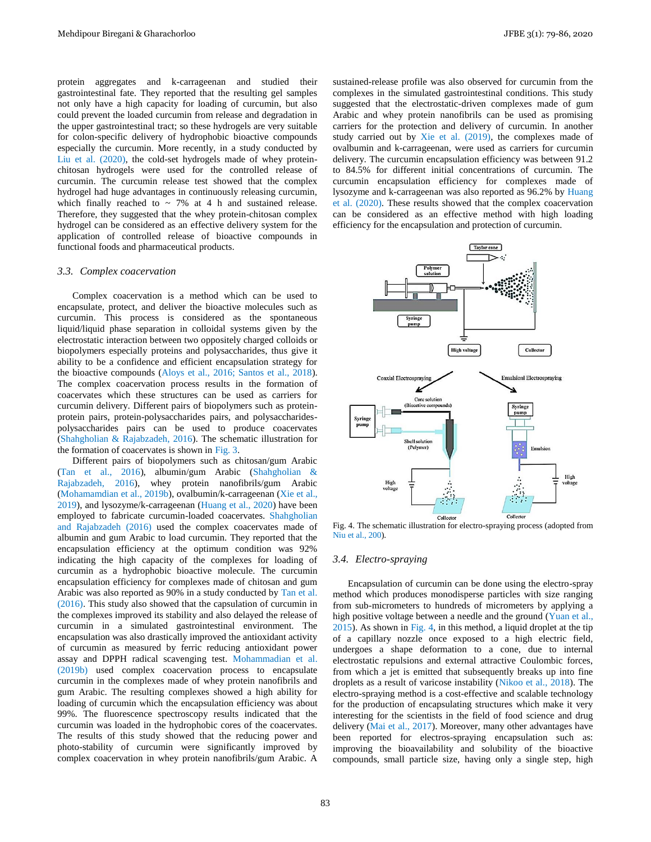protein aggregates and k-carrageenan and studied their gastrointestinal fate. They reported that the resulting gel samples not only have a high capacity for loading of curcumin, but also could prevent the loaded curcumin from release and degradation in the upper gastrointestinal tract; so these hydrogels are very suitable for colon-specific delivery of hydrophobic bioactive compounds especially the curcumin. More recently, in a study conducted by Liu et al. (2020), the cold-set hydrogels made of whey proteinchitosan hydrogels were used for the controlled release of curcumin. The curcumin release test showed that the complex hydrogel had huge advantages in continuously releasing curcumin, which finally reached to  $\sim$  7% at 4 h and sustained release. Therefore, they suggested that the whey protein-chitosan complex hydrogel can be considered as an effective delivery system for the application of controlled release of bioactive compounds in functional foods and pharmaceutical products.

#### *3.3. Complex coacervation*

Complex coacervation is a method which can be used to encapsulate, protect, and deliver the bioactive molecules such as curcumin. This process is considered as the spontaneous liquid/liquid phase separation in colloidal systems given by the electrostatic interaction between two oppositely charged colloids or biopolymers especially proteins and polysaccharides, thus give it ability to be a confidence and efficient encapsulation strategy for the bioactive compounds (Aloys et al., 2016; Santos et al., 2018). The complex coacervation process results in the formation of coacervates which these structures can be used as carriers for curcumin delivery. Different pairs of biopolymers such as proteinprotein pairs, protein-polysaccharides pairs, and polysaccharidespolysaccharides pairs can be used to produce coacervates (Shahgholian & Rajabzadeh, 2016). The schematic illustration for the formation of coacervates is shown in Fig. 3.

Different pairs of biopolymers such as chitosan/gum Arabic (Tan et al., 2016), albumin/gum Arabic (Shahgholian & Rajabzadeh, 2016), whey protein nanofibrils/gum Arabic (Mohamamdian et al., 2019b), ovalbumin/k-carrageenan (Xie et al., 2019), and lysozyme/k-carrageenan (Huang et al., 2020) have been employed to fabricate curcumin-loaded coacervates. Shahgholian and Rajabzadeh (2016) used the complex coacervates made of albumin and gum Arabic to load curcumin. They reported that the encapsulation efficiency at the optimum condition was 92% indicating the high capacity of the complexes for loading of curcumin as a hydrophobic bioactive molecule. The curcumin encapsulation efficiency for complexes made of chitosan and gum Arabic was also reported as 90% in a study conducted by Tan et al. (2016). This study also showed that the capsulation of curcumin in the complexes improved its stability and also delayed the release of curcumin in a simulated gastrointestinal environment. The encapsulation was also drastically improved the antioxidant activity of curcumin as measured by ferric reducing antioxidant power assay and DPPH radical scavenging test. Mohammadian et al. (2019b) used complex coacervation process to encapsulate curcumin in the complexes made of whey protein nanofibrils and gum Arabic. The resulting complexes showed a high ability for loading of curcumin which the encapsulation efficiency was about 99%. The fluorescence spectroscopy results indicated that the curcumin was loaded in the hydrophobic cores of the coacervates. The results of this study showed that the reducing power and photo-stability of curcumin were significantly improved by complex coacervation in whey protein nanofibrils/gum Arabic. A

sustained-release profile was also observed for curcumin from the complexes in the simulated gastrointestinal conditions. This study suggested that the electrostatic-driven complexes made of gum Arabic and whey protein nanofibrils can be used as promising carriers for the protection and delivery of curcumin. In another study carried out by Xie et al. (2019), the complexes made of ovalbumin and k-carrageenan, were used as carriers for curcumin delivery. The curcumin encapsulation efficiency was between 91.2 to 84.5% for different initial concentrations of curcumin. The curcumin encapsulation efficiency for complexes made of lysozyme and k-carrageenan was also reported as 96.2% by Huang et al. (2020). These results showed that the complex coacervation can be considered as an effective method with high loading efficiency for the encapsulation and protection of curcumin.



Fig. 4. The schematic illustration for electro-spraying process (adopted from Niu et al., 200).

#### *3.4. Electro-spraying*

Encapsulation of curcumin can be done using the electro-spray method which produces monodisperse particles with size ranging from sub-micrometers to hundreds of micrometers by applying a high positive voltage between a needle and the ground (Yuan et al., 2015). As shown in Fig. 4, in this method, a liquid droplet at the tip of a capillary nozzle once exposed to a high electric field, undergoes a shape deformation to a cone, due to internal electrostatic repulsions and external attractive Coulombic forces, from which a jet is emitted that subsequently breaks up into fine droplets as a result of varicose instability (Nikoo et al., 2018). The electro-spraying method is a cost-effective and scalable technology for the production of encapsulating structures which make it very interesting for the scientists in the field of food science and drug delivery (Mai et al., 2017). Moreover, many other advantages have been reported for electros-spraying encapsulation such as: improving the bioavailability and solubility of the bioactive compounds, small particle size, having only a single step, high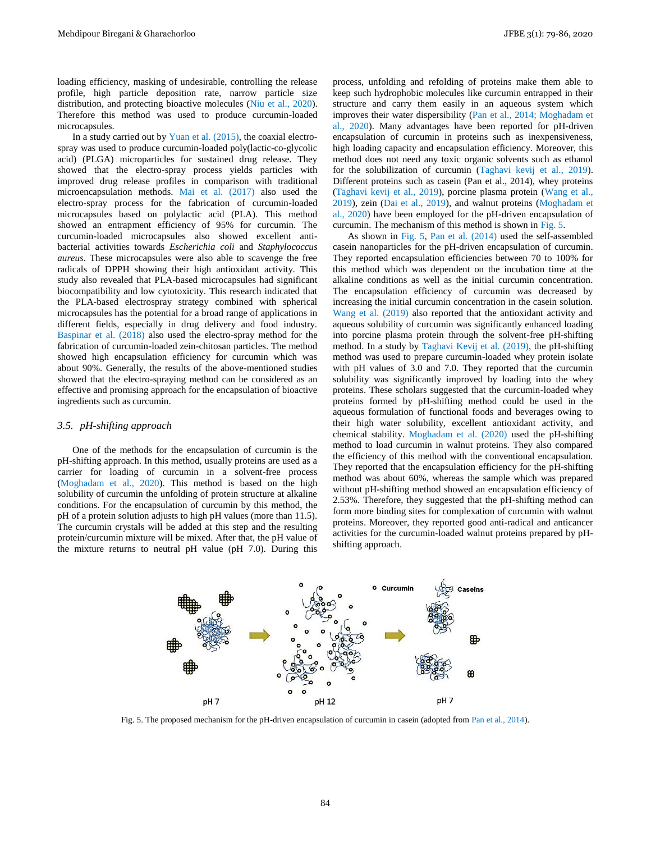loading efficiency, masking of undesirable, controlling the release profile, high particle deposition rate, narrow particle size distribution, and protecting bioactive molecules (Niu et al., 2020). Therefore this method was used to produce curcumin-loaded microcapsules.

In a study carried out by Yuan et al. (2015), the coaxial electrospray was used to produce curcumin-loaded poly(lactic-co-glycolic acid) (PLGA) microparticles for sustained drug release. They showed that the electro-spray process yields particles with improved drug release profiles in comparison with traditional microencapsulation methods. Mai et al. (2017) also used the electro-spray process for the fabrication of curcumin-loaded microcapsules based on polylactic acid (PLA). This method showed an entrapment efficiency of 95% for curcumin. The curcumin-loaded microcapsules also showed excellent antibacterial activities towards *Escherichia coli* and *Staphylococcus aureus*. These microcapsules were also able to scavenge the free radicals of DPPH showing their high antioxidant activity. This study also revealed that PLA-based microcapsules had significant biocompatibility and low cytotoxicity. This research indicated that the PLA-based electrospray strategy combined with spherical microcapsules has the potential for a broad range of applications in different fields, especially in drug delivery and food industry. Baspinar et al. (2018) also used the electro-spray method for the fabrication of curcumin-loaded zein-chitosan particles. The method showed high encapsulation efficiency for curcumin which was about 90%. Generally, the results of the above-mentioned studies showed that the electro-spraying method can be considered as an effective and promising approach for the encapsulation of bioactive ingredients such as curcumin.

#### *3.5. pH-shifting approach*

One of the methods for the encapsulation of curcumin is the pH-shifting approach. In this method, usually proteins are used as a carrier for loading of curcumin in a solvent-free process (Moghadam et al., 2020). This method is based on the high solubility of curcumin the unfolding of protein structure at alkaline conditions. For the encapsulation of curcumin by this method, the pH of a protein solution adjusts to high pH values (more than 11.5). The curcumin crystals will be added at this step and the resulting protein/curcumin mixture will be mixed. After that, the pH value of the mixture returns to neutral pH value (pH 7.0). During this process, unfolding and refolding of proteins make them able to keep such hydrophobic molecules like curcumin entrapped in their structure and carry them easily in an aqueous system which improves their water dispersibility (Pan et al., 2014; Moghadam et al., 2020). Many advantages have been reported for pH-driven encapsulation of curcumin in proteins such as inexpensiveness, high loading capacity and encapsulation efficiency. Moreover, this method does not need any toxic organic solvents such as ethanol for the solubilization of curcumin (Taghavi kevij et al., 2019). Different proteins such as casein (Pan et al., 2014), whey proteins (Taghavi kevij et al., 2019), porcine plasma protein (Wang et al., 2019), zein (Dai et al., 2019), and walnut proteins (Moghadam et al., 2020) have been employed for the pH-driven encapsulation of curcumin. The mechanism of this method is shown in Fig. 5.

As shown in Fig. 5, Pan et al. (2014) used the self-assembled casein nanoparticles for the pH-driven encapsulation of curcumin. They reported encapsulation efficiencies between 70 to 100% for this method which was dependent on the incubation time at the alkaline conditions as well as the initial curcumin concentration. The encapsulation efficiency of curcumin was decreased by increasing the initial curcumin concentration in the casein solution. Wang et al. (2019) also reported that the antioxidant activity and aqueous solubility of curcumin was significantly enhanced loading into porcine plasma protein through the solvent-free pH-shifting method. In a study by Taghavi Kevij et al. (2019), the pH-shifting method was used to prepare curcumin-loaded whey protein isolate with pH values of 3.0 and 7.0. They reported that the curcumin solubility was significantly improved by loading into the whey proteins. These scholars suggested that the curcumin-loaded whey proteins formed by pH-shifting method could be used in the aqueous formulation of functional foods and beverages owing to their high water solubility, excellent antioxidant activity, and chemical stability. Moghadam et al. (2020) used the pH-shifting method to load curcumin in walnut proteins. They also compared the efficiency of this method with the conventional encapsulation. They reported that the encapsulation efficiency for the pH-shifting method was about 60%, whereas the sample which was prepared without pH-shifting method showed an encapsulation efficiency of 2.53%. Therefore, they suggested that the pH-shifting method can form more binding sites for complexation of curcumin with walnut proteins. Moreover, they reported good anti-radical and anticancer activities for the curcumin-loaded walnut proteins prepared by pHshifting approach.



Fig. 5. The proposed mechanism for the pH-driven encapsulation of curcumin in casein (adopted from Pan et al., 2014).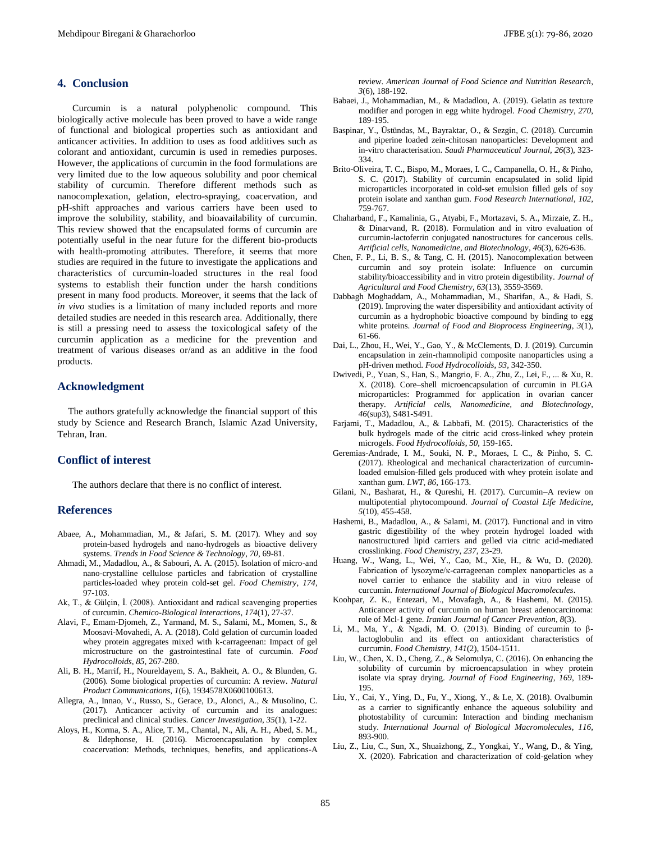# **4. Conclusion**

Curcumin is a natural polyphenolic compound. This biologically active molecule has been proved to have a wide range of functional and biological properties such as antioxidant and anticancer activities. In addition to uses as food additives such as colorant and antioxidant, curcumin is used in remedies purposes. However, the applications of curcumin in the food formulations are very limited due to the low aqueous solubility and poor chemical stability of curcumin. Therefore different methods such as nanocomplexation, gelation, electro-spraying, coacervation, and pH-shift approaches and various carriers have been used to improve the solubility, stability, and bioavailability of curcumin. This review showed that the encapsulated forms of curcumin are potentially useful in the near future for the different bio-products with health-promoting attributes. Therefore, it seems that more studies are required in the future to investigate the applications and characteristics of curcumin-loaded structures in the real food systems to establish their function under the harsh conditions present in many food products. Moreover, it seems that the lack of *in vivo* studies is a limitation of many included reports and more detailed studies are needed in this research area. Additionally, there is still a pressing need to assess the toxicological safety of the curcumin application as a medicine for the prevention and treatment of various diseases or/and as an additive in the food products.

# **Acknowledgment**

The authors gratefully acknowledge the financial support of this study by Science and Research Branch, Islamic Azad University, Tehran, Iran.

### **Conflict of interest**

The authors declare that there is no conflict of interest.

# **References**

- Abaee, A., Mohammadian, M., & Jafari, S. M. (2017). Whey and soy protein-based hydrogels and nano-hydrogels as bioactive delivery systems. *Trends in Food Science & Technology*, *70*, 69-81.
- Ahmadi, M., Madadlou, A., & Sabouri, A. A. (2015). Isolation of micro-and nano-crystalline cellulose particles and fabrication of crystalline particles-loaded whey protein cold-set gel. *Food Chemistry*, *174*, 97-103.
- Ak, T., & Gülçin, İ. (2008). Antioxidant and radical scavenging properties of curcumin. *Chemico-Biological Interactions*, *174*(1), 27-37.
- Alavi, F., Emam-Djomeh, Z., Yarmand, M. S., Salami, M., Momen, S., & Moosavi-Movahedi, A. A. (2018). Cold gelation of curcumin loaded whey protein aggregates mixed with k-carrageenan: Impact of gel microstructure on the gastrointestinal fate of curcumin. *Food Hydrocolloids*, *85*, 267-280.
- Ali, B. H., Marrif, H., Noureldayem, S. A., Bakheit, A. O., & Blunden, G. (2006). Some biological properties of curcumin: A review. *Natural Product Communications*, *1*(6), 1934578X0600100613.
- Allegra, A., Innao, V., Russo, S., Gerace, D., Alonci, A., & Musolino, C. (2017). Anticancer activity of curcumin and its analogues: preclinical and clinical studies. *Cancer Investigation*, *35*(1), 1-22.
- Aloys, H., Korma, S. A., Alice, T. M., Chantal, N., Ali, A. H., Abed, S. M., & Ildephonse, H. (2016). Microencapsulation by complex coacervation: Methods, techniques, benefits, and applications-A

review. *American Journal of Food Science and Nutrition Research*, *3*(6), 188-192.

- Babaei, J., Mohammadian, M., & Madadlou, A. (2019). Gelatin as texture modifier and porogen in egg white hydrogel. *Food Chemistry*, *270*, 189-195.
- Baspinar, Y., Üstündas, M., Bayraktar, O., & Sezgin, C. (2018). Curcumin and piperine loaded zein-chitosan nanoparticles: Development and in-vitro characterisation. *Saudi Pharmaceutical Journal*, *26*(3), 323- 334.
- Brito-Oliveira, T. C., Bispo, M., Moraes, I. C., Campanella, O. H., & Pinho, S. C. (2017). Stability of curcumin encapsulated in solid lipid microparticles incorporated in cold-set emulsion filled gels of soy protein isolate and xanthan gum. *Food Research International*, *102*, 759-767.
- Chaharband, F., Kamalinia, G., Atyabi, F., Mortazavi, S. A., Mirzaie, Z. H., & Dinarvand, R. (2018). Formulation and in vitro evaluation of curcumin-lactoferrin conjugated nanostructures for cancerous cells. *Artificial cells, Nanomedicine, and Biotechnology*, *46*(3), 626-636.
- Chen, F. P., Li, B. S., & Tang, C. H. (2015). Nanocomplexation between curcumin and soy protein isolate: Influence on curcumin stability/bioaccessibility and in vitro protein digestibility. *Journal of Agricultural and Food Chemistry*, *63*(13), 3559-3569.
- Dabbagh Moghaddam, A., Mohammadian, M., Sharifan, A., & Hadi, S. (2019). Improving the water dispersibility and antioxidant activity of curcumin as a hydrophobic bioactive compound by binding to egg white proteins. *Journal of Food and Bioprocess Engineering*, *3*(1), 61-66.
- Dai, L., Zhou, H., Wei, Y., Gao, Y., & McClements, D. J. (2019). Curcumin encapsulation in zein-rhamnolipid composite nanoparticles using a pH-driven method. *Food Hydrocolloids*, *93*, 342-350.
- Dwivedi, P., Yuan, S., Han, S., Mangrio, F. A., Zhu, Z., Lei, F., ... & Xu, R. X. (2018). Core–shell microencapsulation of curcumin in PLGA microparticles: Programmed for application in ovarian cancer therapy. *Artificial cells, Nanomedicine, and Biotechnology*, *46*(sup3), S481-S491.
- Farjami, T., Madadlou, A., & Labbafi, M. (2015). Characteristics of the bulk hydrogels made of the citric acid cross-linked whey protein microgels. *Food Hydrocolloids*, *50*, 159-165.
- Geremias-Andrade, I. M., Souki, N. P., Moraes, I. C., & Pinho, S. C. (2017). Rheological and mechanical characterization of curcuminloaded emulsion-filled gels produced with whey protein isolate and xanthan gum. *LWT*, *86*, 166-173.
- Gilani, N., Basharat, H., & Qureshi, H. (2017). Curcumin–A review on multipotential phytocompound. *Journal of Coastal Life Medicine*, *5*(10), 455-458.
- Hashemi, B., Madadlou, A., & Salami, M. (2017). Functional and in vitro gastric digestibility of the whey protein hydrogel loaded with nanostructured lipid carriers and gelled via citric acid-mediated crosslinking. *Food Chemistry*, *237*, 23-29.
- Huang, W., Wang, L., Wei, Y., Cao, M., Xie, H., & Wu, D. (2020). Fabrication of lysozyme/κ-carrageenan complex nanoparticles as a novel carrier to enhance the stability and in vitro release of curcumin. *International Journal of Biological Macromolecules*.
- Koohpar, Z. K., Entezari, M., Movafagh, A., & Hashemi, M. (2015). Anticancer activity of curcumin on human breast adenocarcinoma: role of Mcl-1 gene. *Iranian Journal of Cancer Prevention*, *8*(3).
- Li, M., Ma, Y., & Ngadi, M. O. (2013). Binding of curcumin to βlactoglobulin and its effect on antioxidant characteristics of curcumin. *Food Chemistry*, *141*(2), 1504-1511.
- Liu, W., Chen, X. D., Cheng, Z., & Selomulya, C. (2016). On enhancing the solubility of curcumin by microencapsulation in whey protein isolate via spray drying. *Journal of Food Engineering*, *169*, 189- 195.
- Liu, Y., Cai, Y., Ying, D., Fu, Y., Xiong, Y., & Le, X. (2018). Ovalbumin as a carrier to significantly enhance the aqueous solubility and photostability of curcumin: Interaction and binding mechanism study. *International Journal of Biological Macromolecules*, *116*, 893-900.
- Liu, Z., Liu, C., Sun, X., Shuaizhong, Z., Yongkai, Y., Wang, D., & Ying, X. (2020). Fabrication and characterization of cold-gelation whey